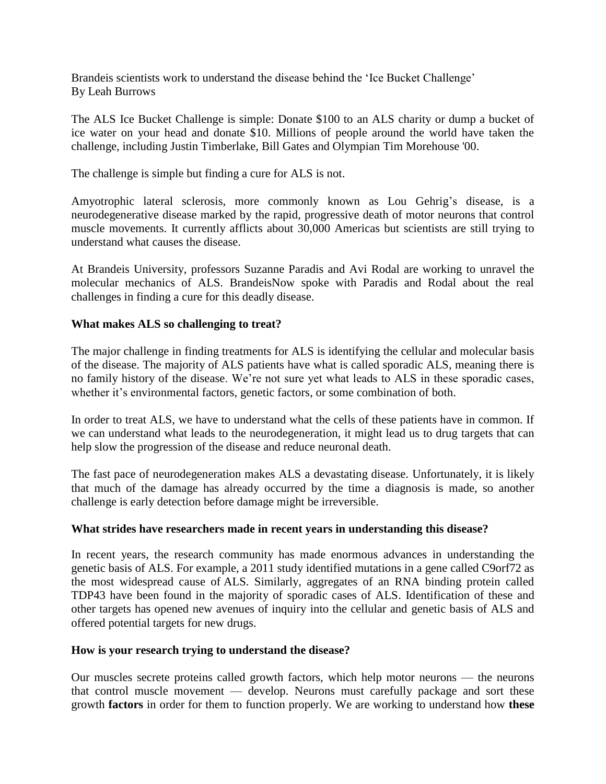Brandeis scientists work to understand the disease behind the 'Ice Bucket Challenge' By Leah Burrows

The ALS Ice Bucket Challenge is simple: Donate \$100 to an ALS charity or dump a bucket of ice water on your head and donate \$10. Millions of people around the world have taken the challenge, including Justin Timberlake, Bill Gates and Olympian Tim Morehouse '00.

The challenge is simple but finding a cure for ALS is not.

Amyotrophic lateral sclerosis, more commonly known as Lou Gehrig's disease, is a neurodegenerative disease marked by the rapid, progressive death of motor neurons that control muscle movements. It currently afflicts about 30,000 Americas but scientists are still trying to understand what causes the disease.

At Brandeis University, professors Suzanne Paradis and Avi Rodal are working to unravel the molecular mechanics of ALS. BrandeisNow spoke with Paradis and Rodal about the real challenges in finding a cure for this deadly disease.

# **What makes ALS so challenging to treat?**

The major challenge in finding treatments for ALS is identifying the cellular and molecular basis of the disease. The majority of ALS patients have what is called sporadic ALS, meaning there is no family history of the disease. We're not sure yet what leads to ALS in these sporadic cases, whether it's environmental factors, genetic factors, or some combination of both.

In order to treat ALS, we have to understand what the cells of these patients have in common. If we can understand what leads to the neurodegeneration, it might lead us to drug targets that can help slow the progression of the disease and reduce neuronal death.

The fast pace of neurodegeneration makes ALS a devastating disease. Unfortunately, it is likely that much of the damage has already occurred by the time a diagnosis is made, so another challenge is early detection before damage might be irreversible.

#### **What strides have researchers made in recent years in understanding this disease?**

In recent years, the research community has made enormous advances in understanding the genetic basis of ALS. For example, a 2011 study identified mutations in a gene called C9orf72 as the most widespread cause of ALS. Similarly, aggregates of an RNA binding protein called TDP43 have been found in the majority of sporadic cases of ALS. Identification of these and other targets has opened new avenues of inquiry into the cellular and genetic basis of ALS and offered potential targets for new drugs.

### **How is your research trying to understand the disease?**

Our muscles secrete proteins called growth factors, which help motor neurons — the neurons that control muscle movement — develop. Neurons must carefully package and sort these growth **factors** in order for them to function properly. We are working to understand how **these**